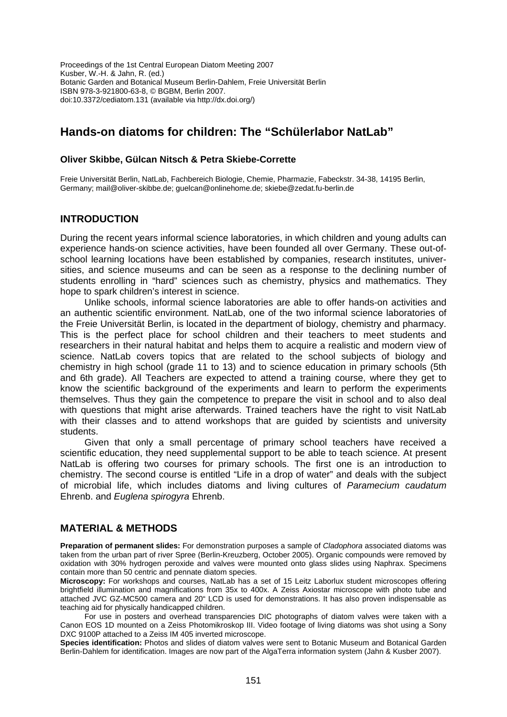Proceedings of the 1st Central European Diatom Meeting 2007 Kusber, W.-H. & Jahn, R. (ed.) Botanic Garden and Botanical Museum Berlin-Dahlem, Freie Universität Berlin ISBN 978-3-921800-63-8, © BGBM, Berlin 2007. doi:10.3372/cediatom.131 (available via http://dx.doi.org/)

# **Hands-on diatoms for children: The "Schülerlabor NatLab"**

#### **Oliver Skibbe, Gülcan Nitsch & Petra Skiebe-Corrette**

Freie Universität Berlin, NatLab, Fachbereich Biologie, Chemie, Pharmazie, Fabeckstr. 34-38, 14195 Berlin, Germany; mail@oliver-skibbe.de; guelcan@onlinehome.de; skiebe@zedat.fu-berlin.de

## **INTRODUCTION**

During the recent years informal science laboratories, in which children and young adults can experience hands-on science activities, have been founded all over Germany. These out-ofschool learning locations have been established by companies, research institutes, universities, and science museums and can be seen as a response to the declining number of students enrolling in "hard" sciences such as chemistry, physics and mathematics. They hope to spark children's interest in science.

Unlike schools, informal science laboratories are able to offer hands-on activities and an authentic scientific environment. NatLab, one of the two informal science laboratories of the Freie Universität Berlin, is located in the department of biology, chemistry and pharmacy. This is the perfect place for school children and their teachers to meet students and researchers in their natural habitat and helps them to acquire a realistic and modern view of science. NatLab covers topics that are related to the school subjects of biology and chemistry in high school (grade 11 to 13) and to science education in primary schools (5th and 6th grade). All Teachers are expected to attend a training course, where they get to know the scientific background of the experiments and learn to perform the experiments themselves. Thus they gain the competence to prepare the visit in school and to also deal with questions that might arise afterwards. Trained teachers have the right to visit NatLab with their classes and to attend workshops that are quided by scientists and university students.

Given that only a small percentage of primary school teachers have received a scientific education, they need supplemental support to be able to teach science. At present NatLab is offering two courses for primary schools. The first one is an introduction to chemistry. The second course is entitled "Life in a drop of water" and deals with the subject of microbial life, which includes diatoms and living cultures of *Paramecium caudatum* Ehrenb. and *Euglena spirogyra* Ehrenb.

## **MATERIAL & METHODS**

**Preparation of permanent slides:** For demonstration purposes a sample of *Cladophora* associated diatoms was taken from the urban part of river Spree (Berlin-Kreuzberg, October 2005). Organic compounds were removed by oxidation with 30% hydrogen peroxide and valves were mounted onto glass slides using Naphrax. Specimens contain more than 50 centric and pennate diatom species.

**Microscopy:** For workshops and courses, NatLab has a set of 15 Leitz Laborlux student microscopes offering brightfield illumination and magnifications from 35x to 400x. A Zeiss Axiostar microscope with photo tube and attached JVC GZ-MC500 camera and 20" LCD is used for demonstrations. It has also proven indispensable as teaching aid for physically handicapped children.

For use in posters and overhead transparencies DIC photographs of diatom valves were taken with a Canon EOS 1D mounted on a Zeiss Photomikroskop III. Video footage of living diatoms was shot using a Sony DXC 9100P attached to a Zeiss IM 405 inverted microscope.

**Species identification:** Photos and slides of diatom valves were sent to Botanic Museum and Botanical Garden Berlin-Dahlem for identification. Images are now part of the AlgaTerra information system (Jahn & Kusber 2007).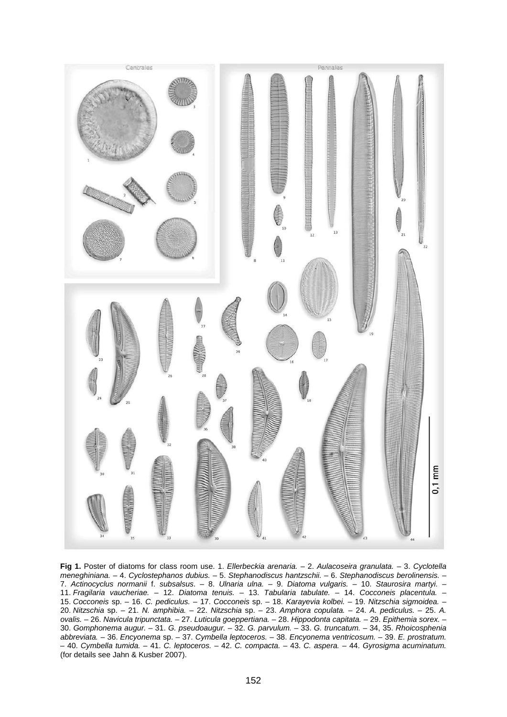

**Fig 1.** Poster of diatoms for class room use. 1. *Ellerbeckia arenaria.* – 2. *Aulacoseira granulata.* – 3. *Cyclotella meneghiniana.* – 4. *Cyclostephanos dubius.* – 5. *Stephanodiscus hantzschii.* – 6. *Stephanodiscus berolinensis.* – 7. *Actinocyclus normanii* f. *subsalsus*. – 8. *Ulnaria ulna.* – 9. *Diatoma vulgaris.* – 10. *Staurosira martyi.* – 11. *Fragilaria vaucheriae.* – 12. *Diatoma tenuis.* – 13. *Tabularia tabulate.* – 14. *Cocconeis placentula.* – 15. *Cocconeis* sp. – 16. *C. pediculus.* – 17. *Cocconeis* sp. – 18. *Karayevia kolbei.* – 19. *Nitzschia sigmoidea.* – 20. *Nitzschia* sp. – 21. *N. amphibia.* – 22. *Nitzschia* sp. – 23. *Amphora copulata.* – 24. *A. pediculus.* – 25. *A. ovalis.* – 26. *Navicula tripunctata.* – 27. *Luticula goeppertiana.* – 28. *Hippodonta capitata.* – 29. *Epithemia sorex.* – 30. *Gomphonema augur.* – 31. *G. pseudoaugur.* – 32. *G. parvulum.* – 33. *G. truncatum.* – 34, 35. *Rhoicosphenia abbreviata.* – 36. *Encyonema* sp. – 37. *Cymbella leptoceros.* – 38. *Encyonema ventricosum.* – 39. *E. prostratum.* – 40. *Cymbella tumida.* – 41. *C. leptoceros.* – 42. *C. compacta.* – 43. *C. aspera.* – 44. *Gyrosigma acuminatum.* (for details see Jahn & Kusber 2007).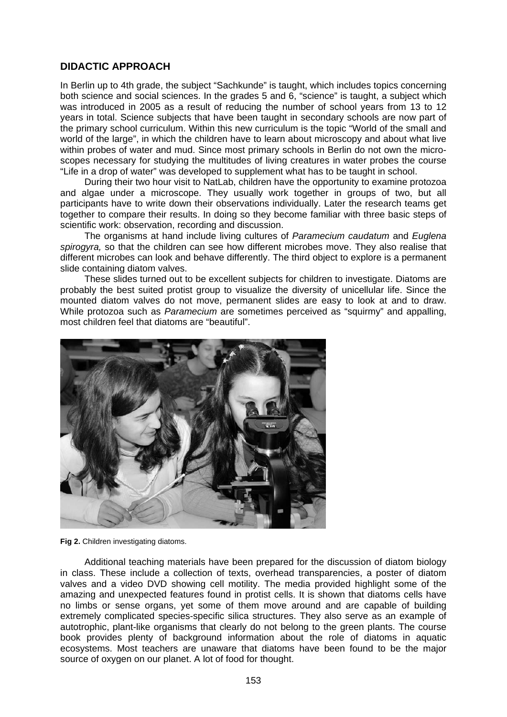# **DIDACTIC APPROACH**

In Berlin up to 4th grade, the subject "Sachkunde" is taught, which includes topics concerning both science and social sciences. In the grades 5 and 6, "science" is taught, a subject which was introduced in 2005 as a result of reducing the number of school years from 13 to 12 years in total. Science subjects that have been taught in secondary schools are now part of the primary school curriculum. Within this new curriculum is the topic "World of the small and world of the large", in which the children have to learn about microscopy and about what live within probes of water and mud. Since most primary schools in Berlin do not own the microscopes necessary for studying the multitudes of living creatures in water probes the course "Life in a drop of water" was developed to supplement what has to be taught in school.

During their two hour visit to NatLab, children have the opportunity to examine protozoa and algae under a microscope. They usually work together in groups of two, but all participants have to write down their observations individually. Later the research teams get together to compare their results. In doing so they become familiar with three basic steps of scientific work: observation, recording and discussion.

The organisms at hand include living cultures of *Paramecium caudatum* and *Euglena spirogyra,* so that the children can see how different microbes move. They also realise that different microbes can look and behave differently. The third object to explore is a permanent slide containing diatom valves.

These slides turned out to be excellent subjects for children to investigate. Diatoms are probably the best suited protist group to visualize the diversity of unicellular life. Since the mounted diatom valves do not move, permanent slides are easy to look at and to draw. While protozoa such as *Paramecium* are sometimes perceived as "squirmy" and appalling, most children feel that diatoms are "beautiful".



**Fig 2.** Children investigating diatoms.

Additional teaching materials have been prepared for the discussion of diatom biology in class. These include a collection of texts, overhead transparencies, a poster of diatom valves and a video DVD showing cell motility. The media provided highlight some of the amazing and unexpected features found in protist cells. It is shown that diatoms cells have no limbs or sense organs, yet some of them move around and are capable of building extremely complicated species-specific silica structures. They also serve as an example of autotrophic, plant-like organisms that clearly do not belong to the green plants. The course book provides plenty of background information about the role of diatoms in aquatic ecosystems. Most teachers are unaware that diatoms have been found to be the major source of oxygen on our planet. A lot of food for thought.